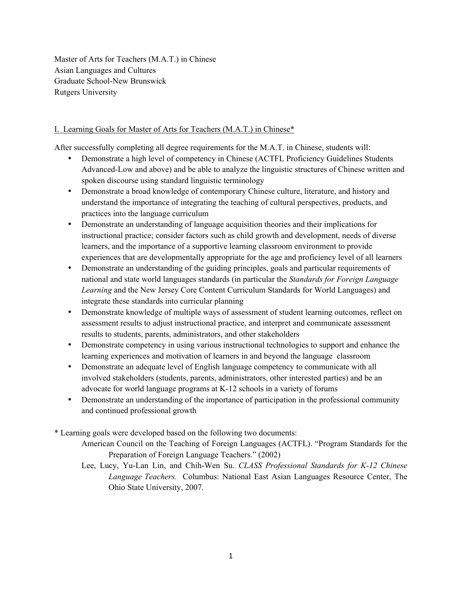Master of Arts for Teachers (M.A.T.) in Chinese Asian Languages and Cultures Graduate School-New Brunswick Rutgers University

## I. Learning Goals for Master of Arts for Teachers (M.A.T.) in Chinese\*

After successfully completing all degree requirements for the M.A.T. in Chinese, students will:

- Demonstrate a high level of competency in Chinese (ACTFL Proficiency Guidelines Students Advanced-Low and above) and be able to analyze the linguistic structures of Chinese written and spoken discourse using standard linguistic terminology
- Demonstrate a broad knowledge of contemporary Chinese culture, literature, and history and understand the importance of integrating the teaching of cultural perspectives, products, and practices into the language curriculum
- Demonstrate an understanding of language acquisition theories and their implications for instructional practice; consider factors such as child growth and development, needs of diverse learners, and the importance of a supportive learning classroom environment to provide experiences that are developmentally appropriate for the age and proficiency level of all learners
- Demonstrate an understanding of the guiding principles, goals and particular requirements of national and state world languages standards (in particular the *Standards for Foreign Language Learning* and the New Jersey Core Content Curriculum Standards for World Languages) and integrate these standards into curricular planning
- Demonstrate knowledge of multiple ways of assessment of student learning outcomes, reflect on assessment results to adjust instructional practice, and interpret and communicate assessment results to students, parents, administrators, and other stakeholders
- Demonstrate competency in using various instructional technologies to support and enhance the learning experiences and motivation of learners in and beyond the language classroom
- Demonstrate an adequate level of English language competency to communicate with all involved stakeholders (students, parents, administrators, other interested parties) and be an advocate for world language programs at K-12 schools in a variety of forums
- Demonstrate an understanding of the importance of participation in the professional community and continued professional growth
- \* Learning goals were developed based on the following two documents:
	- American Council on the Teaching of Foreign Languages (ACTFL). "Program Standards for the Preparation of Foreign Language Teachers." (2002)
	- Lee, Lucy, Yu-Lan Lin, and Chih-Wen Su. *CLASS Professional Standards for K-12 Chinese Language Teachers.* Columbus: National East Asian Languages Resource Center, The Ohio State University, 2007.